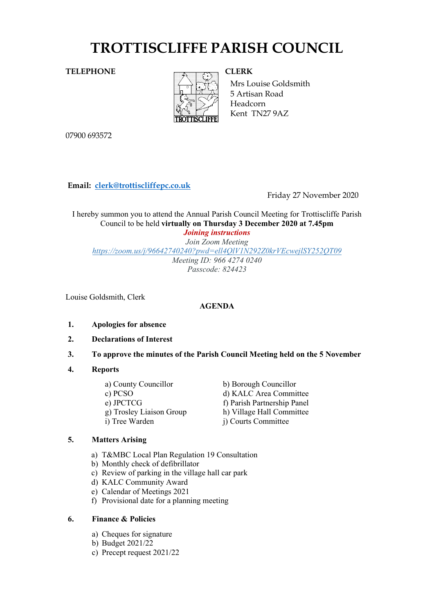# **TROTTISCLIFFE PARISH COUNCIL**

# **TELEPHONE CLERK**



Mrs Louise Goldsmith 5 Artisan Road Headcorn Kent TN27 9AZ

07900 693572

**Email: [clerk@trottiscliffepc.co.uk](mailto:clerk@trottiscliffepc.co.uk)**

Friday 27 November 2020

I hereby summon you to attend the Annual Parish Council Meeting for Trottiscliffe Parish Council to be held **virtually on Thursday 3 December 2020 at 7.45pm**  *Joining instructions*

*Join Zoom Meeting <https://zoom.us/j/96642740240?pwd=ell4QlV1N292Z0krVEcwejlSY252QT09> Meeting ID: 966 4274 0240 Passcode: 824423* 

Louise Goldsmith, Clerk

# **AGENDA**

- **1. Apologies for absence**
- **2. Declarations of Interest**
- **3. To approve the minutes of the Parish Council Meeting held on the 5 November**

# **4. Reports**

a) County Councillor b) Borough Councillor i) Tree Warden j) Courts Committee

c) PCSO d) KALC Area Committee e) JPCTCG f) Parish Partnership Panel g) Trosley Liaison Group h) Village Hall Committee

# **5. Matters Arising**

- a) T&MBC Local Plan Regulation 19 Consultation
- b) Monthly check of defibrillator
- c) Review of parking in the village hall car park
- d) KALC Community Award
- e) Calendar of Meetings 2021
- f) Provisional date for a planning meeting

# **6. Finance & Policies**

- a) Cheques for signature
- b) Budget 2021/22
- c) Precept request 2021/22